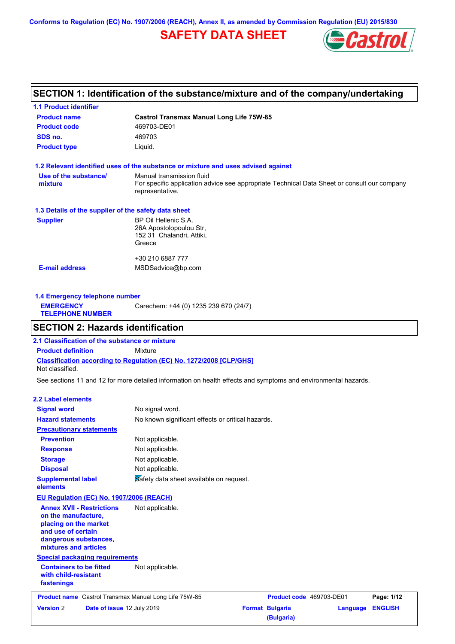**Conforms to Regulation (EC) No. 1907/2006 (REACH), Annex II, as amended by Commission Regulation (EU) 2015/830**

## **SAFETY DATA SHEET**



### **SECTION 1: Identification of the substance/mixture and of the company/undertaking**

| <b>1.1 Product identifier</b>                        |                                                                                                                                             |
|------------------------------------------------------|---------------------------------------------------------------------------------------------------------------------------------------------|
| <b>Product name</b>                                  | <b>Castrol Transmax Manual Long Life 75W-85</b>                                                                                             |
| <b>Product code</b>                                  | 469703-DE01                                                                                                                                 |
| SDS no.                                              | 469703                                                                                                                                      |
| <b>Product type</b>                                  | Liquid.                                                                                                                                     |
|                                                      | 1.2 Relevant identified uses of the substance or mixture and uses advised against                                                           |
| Use of the substance/<br>mixture                     | Manual transmission fluid<br>For specific application advice see appropriate Technical Data Sheet or consult our company<br>representative. |
| 1.3 Details of the supplier of the safety data sheet |                                                                                                                                             |
| <b>Supplier</b>                                      | BP Oil Hellenic S.A.<br>26A Apostolopoulou Str.<br>152 31 Chalandri, Attiki,<br>Greece                                                      |
|                                                      | +30 210 6887 777                                                                                                                            |
| <b>E-mail address</b>                                | MSDSadvice@bp.com                                                                                                                           |
|                                                      |                                                                                                                                             |

**1.4 Emergency telephone number EMERGENCY TELEPHONE NUMBER** Carechem: +44 (0) 1235 239 670 (24/7)

### **SECTION 2: Hazards identification**

**Classification according to Regulation (EC) No. 1272/2008 [CLP/GHS] 2.1 Classification of the substance or mixture Product definition** Mixture Not classified.

See sections 11 and 12 for more detailed information on health effects and symptoms and environmental hazards.

#### **2.2 Label elements**

| <b>Signal word</b><br>No signal word.<br><b>Hazard statements</b><br>No known significant effects or critical hazards.<br><b>Precautionary statements</b><br><b>Prevention</b><br>Not applicable.<br>Not applicable.<br><b>Response</b><br>Not applicable.<br><b>Storage</b><br>Not applicable.<br><b>Disposal</b><br>Safety data sheet available on request.<br><b>Supplemental label</b><br>elements<br>EU Regulation (EC) No. 1907/2006 (REACH)<br><b>Annex XVII - Restrictions</b><br>Not applicable.<br>on the manufacture, |                |
|----------------------------------------------------------------------------------------------------------------------------------------------------------------------------------------------------------------------------------------------------------------------------------------------------------------------------------------------------------------------------------------------------------------------------------------------------------------------------------------------------------------------------------|----------------|
|                                                                                                                                                                                                                                                                                                                                                                                                                                                                                                                                  |                |
|                                                                                                                                                                                                                                                                                                                                                                                                                                                                                                                                  |                |
|                                                                                                                                                                                                                                                                                                                                                                                                                                                                                                                                  |                |
|                                                                                                                                                                                                                                                                                                                                                                                                                                                                                                                                  |                |
|                                                                                                                                                                                                                                                                                                                                                                                                                                                                                                                                  |                |
|                                                                                                                                                                                                                                                                                                                                                                                                                                                                                                                                  |                |
|                                                                                                                                                                                                                                                                                                                                                                                                                                                                                                                                  |                |
|                                                                                                                                                                                                                                                                                                                                                                                                                                                                                                                                  |                |
|                                                                                                                                                                                                                                                                                                                                                                                                                                                                                                                                  |                |
| placing on the market<br>and use of certain<br>dangerous substances,<br>mixtures and articles                                                                                                                                                                                                                                                                                                                                                                                                                                    |                |
| <b>Special packaging requirements</b>                                                                                                                                                                                                                                                                                                                                                                                                                                                                                            |                |
| <b>Containers to be fitted</b><br>Not applicable.<br>with child-resistant<br>fastenings                                                                                                                                                                                                                                                                                                                                                                                                                                          |                |
| <b>Product name</b> Castrol Transmax Manual Long Life 75W-85<br>Product code 469703-DE01                                                                                                                                                                                                                                                                                                                                                                                                                                         | Page: 1/12     |
| <b>Version 2</b><br>Date of issue 12 July 2019<br><b>Format Bulgaria</b><br>Language<br>(Bulgaria)                                                                                                                                                                                                                                                                                                                                                                                                                               | <b>ENGLISH</b> |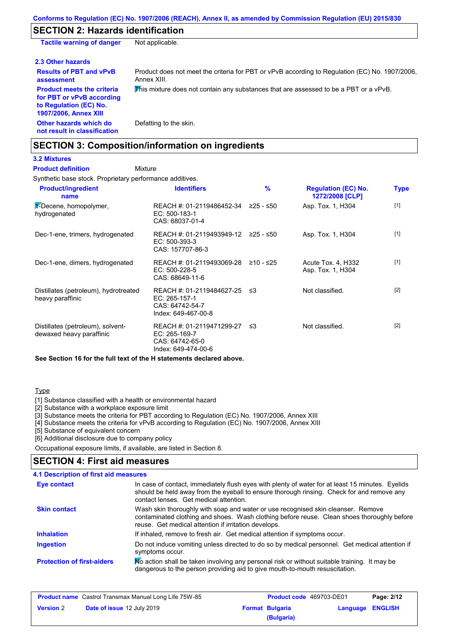### **SECTION 2: Hazards identification**

**Tactile warning of danger** Not applicable.

| 2.3 Other hazards                                                                                                        |                                                                                                               |
|--------------------------------------------------------------------------------------------------------------------------|---------------------------------------------------------------------------------------------------------------|
| <b>Results of PBT and vPvB</b><br>assessment                                                                             | Product does not meet the criteria for PBT or vPvB according to Regulation (EC) No. 1907/2006.<br>Annex XIII. |
| <b>Product meets the criteria</b><br>for PBT or vPvB according<br>to Regulation (EC) No.<br><b>1907/2006, Annex XIII</b> | This mixture does not contain any substances that are assessed to be a PBT or a vPvB.                         |
| Other hazards which do<br>not result in classification                                                                   | Defatting to the skin.                                                                                        |

### **SECTION 3: Composition/information on ingredients**

### **3.2 Mixtures**

Synthetic base stock. Proprietary performance additives. **Mixture Product definition**

| <b>Product/ingredient</b><br>name                             | <b>Identifiers</b>                                                                      | $\frac{9}{6}$ | <b>Regulation (EC) No.</b><br>1272/2008 [CLP] | <b>Type</b> |
|---------------------------------------------------------------|-----------------------------------------------------------------------------------------|---------------|-----------------------------------------------|-------------|
| 1-Decene, homopolymer,<br>hydrogenated                        | REACH #: 01-2119486452-34 ≥25 - ≤50<br>EC: 500-183-1<br>CAS: 68037-01-4                 |               | Asp. Tox. 1, H304                             | $[1]$       |
| Dec-1-ene, trimers, hydrogenated                              | REACH #: 01-2119493949-12 ≥25 - ≤50<br>$EC: 500-393-3$<br>CAS: 157707-86-3              |               | Asp. Tox. 1, H304                             | $[1]$       |
| Dec-1-ene, dimers, hydrogenated                               | REACH #: 01-2119493069-28<br>$EC: 500-228-5$<br>CAS: 68649-11-6                         | ≥10 - ≤25     | Acute Tox. 4, H332<br>Asp. Tox. 1, H304       | $[1]$       |
| Distillates (petroleum), hydrotreated<br>heavy paraffinic     | REACH #: 01-2119484627-25 ≤3<br>EC: 265-157-1<br>CAS: 64742-54-7<br>Index: 649-467-00-8 |               | Not classified.                               | $[2]$       |
| Distillates (petroleum), solvent-<br>dewaxed heavy paraffinic | REACH #: 01-2119471299-27<br>EC: 265-169-7<br>CAS: 64742-65-0<br>Index: 649-474-00-6    | ו≥ ≤          | Not classified.                               | $[2]$       |

**See Section 16 for the full text of the H statements declared above.**

#### Type

[1] Substance classified with a health or environmental hazard

[2] Substance with a workplace exposure limit

[3] Substance meets the criteria for PBT according to Regulation (EC) No. 1907/2006, Annex XIII

[4] Substance meets the criteria for vPvB according to Regulation (EC) No. 1907/2006, Annex XIII

[5] Substance of equivalent concern

[6] Additional disclosure due to company policy

Occupational exposure limits, if available, are listed in Section 8.

### **SECTION 4: First aid measures**

#### Do not induce vomiting unless directed to do so by medical personnel. Get medical attention if symptoms occur. In case of contact, immediately flush eyes with plenty of water for at least 15 minutes. Eyelids should be held away from the eyeball to ensure thorough rinsing. Check for and remove any contact lenses. Get medical attention. **4.1 Description of first aid measures** If inhaled, remove to fresh air. Get medical attention if symptoms occur. **Ingestion Inhalation Eye contact Protection of first-aiders** Mo action shall be taken involving any personal risk or without suitable training. It may be dangerous to the person providing aid to give mouth-to-mouth resuscitation. **Skin contact** Wash skin thoroughly with soap and water or use recognised skin cleanser. Remove contaminated clothing and shoes. Wash clothing before reuse. Clean shoes thoroughly before reuse. Get medical attention if irritation develops.

| <b>Product name</b> Castrol Transmax Manual Long Life 75W-85 |                                   | <b>Product code</b> 469703-DE01 |                        | Page: 2/12              |  |
|--------------------------------------------------------------|-----------------------------------|---------------------------------|------------------------|-------------------------|--|
| <b>Version</b> 2                                             | <b>Date of issue 12 July 2019</b> |                                 | <b>Format Bulgaria</b> | <b>Language ENGLISH</b> |  |
|                                                              |                                   |                                 | (Bulgaria)             |                         |  |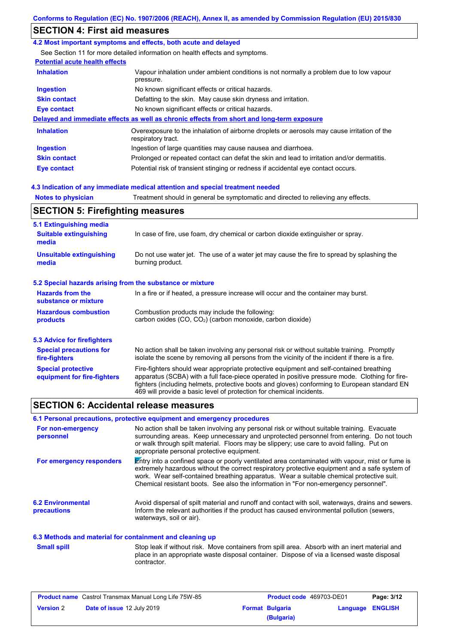### **SECTION 4: First aid measures**

#### **4.2 Most important symptoms and effects, both acute and delayed**

See Section 11 for more detailed information on health effects and symptoms.

### **Potential acute health effects**

| <b>Inhalation</b>   | Vapour inhalation under ambient conditions is not normally a problem due to low vapour<br>pressure.               |
|---------------------|-------------------------------------------------------------------------------------------------------------------|
| <b>Ingestion</b>    | No known significant effects or critical hazards.                                                                 |
| <b>Skin contact</b> | Defatting to the skin. May cause skin dryness and irritation.                                                     |
| Eye contact         | No known significant effects or critical hazards.                                                                 |
|                     | Delayed and immediate effects as well as chronic effects from short and long-term exposure                        |
| <b>Inhalation</b>   | Overexposure to the inhalation of airborne droplets or aerosols may cause irritation of the<br>respiratory tract. |
| Ingestion           | Ingestion of large quantities may cause nausea and diarrhoea.                                                     |
| <b>Skin contact</b> | Prolonged or repeated contact can defat the skin and lead to irritation and/or dermatitis.                        |
| Eye contact         | Potential risk of transient stinging or redness if accidental eye contact occurs.                                 |

#### **4.3 Indication of any immediate medical attention and special treatment needed**

**Notes to physician** Treatment should in general be symptomatic and directed to relieving any effects.

# **SECTION 5: Firefighting measures**

| 5.1 Extinguishing media                                   |                                                                                                                                                                                                                                                                                                                                                                   |
|-----------------------------------------------------------|-------------------------------------------------------------------------------------------------------------------------------------------------------------------------------------------------------------------------------------------------------------------------------------------------------------------------------------------------------------------|
| <b>Suitable extinguishing</b><br>media                    | In case of fire, use foam, dry chemical or carbon dioxide extinguisher or spray.                                                                                                                                                                                                                                                                                  |
| <b>Unsuitable extinguishing</b><br>media                  | Do not use water jet. The use of a water jet may cause the fire to spread by splashing the<br>burning product.                                                                                                                                                                                                                                                    |
| 5.2 Special hazards arising from the substance or mixture |                                                                                                                                                                                                                                                                                                                                                                   |
| <b>Hazards from the</b><br>substance or mixture           | In a fire or if heated, a pressure increase will occur and the container may burst.                                                                                                                                                                                                                                                                               |
| <b>Hazardous combustion</b><br>products                   | Combustion products may include the following:<br>carbon oxides (CO, CO <sub>2</sub> ) (carbon monoxide, carbon dioxide)                                                                                                                                                                                                                                          |
| 5.3 Advice for firefighters                               |                                                                                                                                                                                                                                                                                                                                                                   |
| <b>Special precautions for</b><br>fire-fighters           | No action shall be taken involving any personal risk or without suitable training. Promptly<br>isolate the scene by removing all persons from the vicinity of the incident if there is a fire.                                                                                                                                                                    |
| <b>Special protective</b><br>equipment for fire-fighters  | Fire-fighters should wear appropriate protective equipment and self-contained breathing<br>apparatus (SCBA) with a full face-piece operated in positive pressure mode. Clothing for fire-<br>fighters (including helmets, protective boots and gloves) conforming to European standard EN<br>469 will provide a basic level of protection for chemical incidents. |

### **SECTION 6: Accidental release measures**

#### **6.1 Personal precautions, protective equipment and emergency procedures**

| For non-emergency<br>personnel                           | No action shall be taken involving any personal risk or without suitable training. Evacuate<br>surrounding areas. Keep unnecessary and unprotected personnel from entering. Do not touch<br>or walk through spilt material. Floors may be slippery; use care to avoid falling. Put on<br>appropriate personal protective equipment.                                                  |
|----------------------------------------------------------|--------------------------------------------------------------------------------------------------------------------------------------------------------------------------------------------------------------------------------------------------------------------------------------------------------------------------------------------------------------------------------------|
| For emergency responders                                 | Entry into a confined space or poorly ventilated area contaminated with vapour, mist or fume is<br>extremely hazardous without the correct respiratory protective equipment and a safe system of<br>work. Wear self-contained breathing apparatus. Wear a suitable chemical protective suit.<br>Chemical resistant boots. See also the information in "For non-emergency personnel". |
| <b>6.2 Environmental</b><br><b>precautions</b>           | Avoid dispersal of spilt material and runoff and contact with soil, waterways, drains and sewers.<br>Inform the relevant authorities if the product has caused environmental pollution (sewers,<br>waterways, soil or air).                                                                                                                                                          |
| 6.3 Methods and material for containment and cleaning up |                                                                                                                                                                                                                                                                                                                                                                                      |

**Small spill**

Stop leak if without risk. Move containers from spill area. Absorb with an inert material and place in an appropriate waste disposal container. Dispose of via a licensed waste disposal contractor.

| <b>Product name</b> Castrol Transmax Manual Long Life 75W-85 |                            | <b>Product code</b> 469703-DE01 |                        | Page: 3/12       |  |
|--------------------------------------------------------------|----------------------------|---------------------------------|------------------------|------------------|--|
| <b>Version 2</b>                                             | Date of issue 12 July 2019 |                                 | <b>Format Bulgaria</b> | Language ENGLISH |  |
|                                                              |                            |                                 | (Bulgaria)             |                  |  |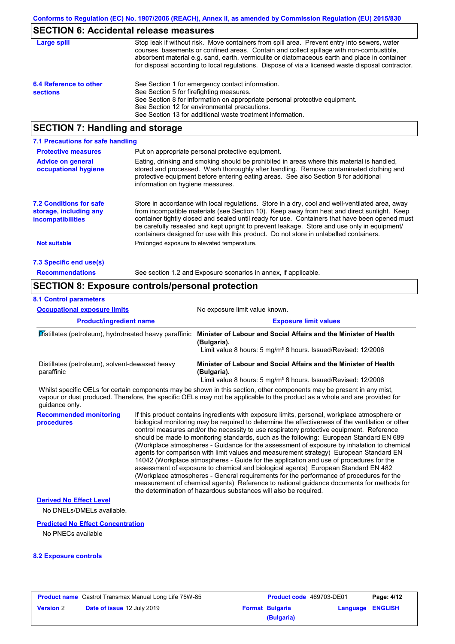### **SECTION 6: Accidental release measures**

| Large spill                               | Stop leak if without risk. Move containers from spill area. Prevent entry into sewers, water<br>courses, basements or confined areas. Contain and collect spillage with non-combustible,<br>absorbent material e.g. sand, earth, vermiculite or diatomaceous earth and place in container<br>for disposal according to local regulations. Dispose of via a licensed waste disposal contractor. |
|-------------------------------------------|------------------------------------------------------------------------------------------------------------------------------------------------------------------------------------------------------------------------------------------------------------------------------------------------------------------------------------------------------------------------------------------------|
| 6.4 Reference to other<br><b>sections</b> | See Section 1 for emergency contact information.<br>See Section 5 for firefighting measures.<br>See Section 8 for information on appropriate personal protective equipment.<br>See Section 12 for environmental precautions.<br>See Section 13 for additional waste treatment information.                                                                                                     |

### **SECTION 7: Handling and storage**

| 7.1 Precautions for safe handling                                                    |                                                                                                                                                                                                                                                                                                                                                                                                                                                                                          |
|--------------------------------------------------------------------------------------|------------------------------------------------------------------------------------------------------------------------------------------------------------------------------------------------------------------------------------------------------------------------------------------------------------------------------------------------------------------------------------------------------------------------------------------------------------------------------------------|
| <b>Protective measures</b>                                                           | Put on appropriate personal protective equipment.                                                                                                                                                                                                                                                                                                                                                                                                                                        |
| <b>Advice on general</b><br>occupational hygiene                                     | Eating, drinking and smoking should be prohibited in areas where this material is handled.<br>stored and processed. Wash thoroughly after handling. Remove contaminated clothing and<br>protective equipment before entering eating areas. See also Section 8 for additional<br>information on hygiene measures.                                                                                                                                                                         |
| <b>7.2 Conditions for safe</b><br>storage, including any<br><i>incompatibilities</i> | Store in accordance with local requiations. Store in a dry, cool and well-ventilated area, away<br>from incompatible materials (see Section 10). Keep away from heat and direct sunlight. Keep<br>container tightly closed and sealed until ready for use. Containers that have been opened must<br>be carefully resealed and kept upright to prevent leakage. Store and use only in equipment/<br>containers designed for use with this product. Do not store in unlabelled containers. |
| Not suitable                                                                         | Prolonged exposure to elevated temperature.                                                                                                                                                                                                                                                                                                                                                                                                                                              |
| 7.3 Specific end use(s)                                                              |                                                                                                                                                                                                                                                                                                                                                                                                                                                                                          |
| <b>Recommendations</b>                                                               | See section 1.2 and Exposure scenarios in annex, if applicable.                                                                                                                                                                                                                                                                                                                                                                                                                          |

### **SECTION 8: Exposure controls/personal protection**

#### **Product/ingredient name Exposure limit values Recommended monitoring procedures** If this product contains ingredients with exposure limits, personal, workplace atmosphere or biological monitoring may be required to determine the effectiveness of the ventilation or other control measures and/or the necessity to use respiratory protective equipment. Reference should be made to monitoring standards, such as the following: European Standard EN 689 Distillates (petroleum), hydrotreated heavy paraffinic **Minister of Labour and Social Affairs and the Minister of Health (Bulgaria).** Limit value 8 hours: 5 mg/m<sup>3</sup> 8 hours. Issued/Revised: 12/2006 Distillates (petroleum), solvent-dewaxed heavy paraffinic **Minister of Labour and Social Affairs and the Minister of Health (Bulgaria).** Limit value 8 hours: 5 mg/m<sup>3</sup> 8 hours. Issued/Revised: 12/2006 **8.1 Control parameters** Whilst specific OELs for certain components may be shown in this section, other components may be present in any mist, vapour or dust produced. Therefore, the specific OELs may not be applicable to the product as a whole and are provided for guidance only. **Occupational exposure limits** No exposure limit value known.

(Workplace atmospheres - Guidance for the assessment of exposure by inhalation to chemical agents for comparison with limit values and measurement strategy) European Standard EN 14042 (Workplace atmospheres - Guide for the application and use of procedures for the assessment of exposure to chemical and biological agents) European Standard EN 482 (Workplace atmospheres - General requirements for the performance of procedures for the measurement of chemical agents) Reference to national guidance documents for methods for the determination of hazardous substances will also be required.

#### **Derived No Effect Level**

No DNELs/DMELs available.

#### **Predicted No Effect Concentration**

No PNECs available

#### **8.2 Exposure controls**

| <b>Product name</b> Castrol Transmax Manual Long Life 75W-85 |                                   | <b>Product code</b> 469703-DE01 |                        | Page: 4/12              |  |
|--------------------------------------------------------------|-----------------------------------|---------------------------------|------------------------|-------------------------|--|
| <b>Version 2</b>                                             | <b>Date of issue 12 July 2019</b> |                                 | <b>Format Bulgaria</b> | <b>Language ENGLISH</b> |  |
|                                                              |                                   |                                 | (Bulgaria)             |                         |  |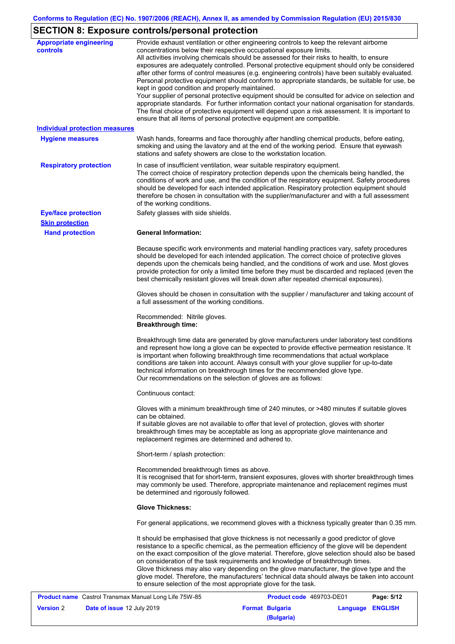# **SECTION 8: Exposure controls/personal protection**

| <b>Appropriate engineering</b><br>controls<br><b>Individual protection measures</b><br><b>Hygiene measures</b> | Provide exhaust ventilation or other engineering controls to keep the relevant airborne<br>concentrations below their respective occupational exposure limits.<br>All activities involving chemicals should be assessed for their risks to health, to ensure<br>exposures are adequately controlled. Personal protective equipment should only be considered<br>after other forms of control measures (e.g. engineering controls) have been suitably evaluated.<br>Personal protective equipment should conform to appropriate standards, be suitable for use, be<br>kept in good condition and properly maintained.<br>Your supplier of personal protective equipment should be consulted for advice on selection and<br>appropriate standards. For further information contact your national organisation for standards.<br>The final choice of protective equipment will depend upon a risk assessment. It is important to<br>ensure that all items of personal protective equipment are compatible.<br>Wash hands, forearms and face thoroughly after handling chemical products, before eating,<br>smoking and using the lavatory and at the end of the working period. Ensure that eyewash<br>stations and safety showers are close to the workstation location. |
|----------------------------------------------------------------------------------------------------------------|------------------------------------------------------------------------------------------------------------------------------------------------------------------------------------------------------------------------------------------------------------------------------------------------------------------------------------------------------------------------------------------------------------------------------------------------------------------------------------------------------------------------------------------------------------------------------------------------------------------------------------------------------------------------------------------------------------------------------------------------------------------------------------------------------------------------------------------------------------------------------------------------------------------------------------------------------------------------------------------------------------------------------------------------------------------------------------------------------------------------------------------------------------------------------------------------------------------------------------------------------------------------|
| <b>Respiratory protection</b>                                                                                  | In case of insufficient ventilation, wear suitable respiratory equipment.<br>The correct choice of respiratory protection depends upon the chemicals being handled, the<br>conditions of work and use, and the condition of the respiratory equipment. Safety procedures<br>should be developed for each intended application. Respiratory protection equipment should<br>therefore be chosen in consultation with the supplier/manufacturer and with a full assessment<br>of the working conditions.                                                                                                                                                                                                                                                                                                                                                                                                                                                                                                                                                                                                                                                                                                                                                                  |
| <b>Eye/face protection</b>                                                                                     | Safety glasses with side shields.                                                                                                                                                                                                                                                                                                                                                                                                                                                                                                                                                                                                                                                                                                                                                                                                                                                                                                                                                                                                                                                                                                                                                                                                                                      |
| <b>Skin protection</b><br><b>Hand protection</b>                                                               | <b>General Information:</b>                                                                                                                                                                                                                                                                                                                                                                                                                                                                                                                                                                                                                                                                                                                                                                                                                                                                                                                                                                                                                                                                                                                                                                                                                                            |
|                                                                                                                | Because specific work environments and material handling practices vary, safety procedures<br>should be developed for each intended application. The correct choice of protective gloves<br>depends upon the chemicals being handled, and the conditions of work and use. Most gloves<br>provide protection for only a limited time before they must be discarded and replaced (even the<br>best chemically resistant gloves will break down after repeated chemical exposures).                                                                                                                                                                                                                                                                                                                                                                                                                                                                                                                                                                                                                                                                                                                                                                                       |
|                                                                                                                | Gloves should be chosen in consultation with the supplier / manufacturer and taking account of<br>a full assessment of the working conditions.                                                                                                                                                                                                                                                                                                                                                                                                                                                                                                                                                                                                                                                                                                                                                                                                                                                                                                                                                                                                                                                                                                                         |
|                                                                                                                | Recommended: Nitrile gloves.<br><b>Breakthrough time:</b>                                                                                                                                                                                                                                                                                                                                                                                                                                                                                                                                                                                                                                                                                                                                                                                                                                                                                                                                                                                                                                                                                                                                                                                                              |
|                                                                                                                | Breakthrough time data are generated by glove manufacturers under laboratory test conditions<br>and represent how long a glove can be expected to provide effective permeation resistance. It<br>is important when following breakthrough time recommendations that actual workplace<br>conditions are taken into account. Always consult with your glove supplier for up-to-date<br>technical information on breakthrough times for the recommended glove type.<br>Our recommendations on the selection of gloves are as follows:                                                                                                                                                                                                                                                                                                                                                                                                                                                                                                                                                                                                                                                                                                                                     |
|                                                                                                                | Continuous contact:                                                                                                                                                                                                                                                                                                                                                                                                                                                                                                                                                                                                                                                                                                                                                                                                                                                                                                                                                                                                                                                                                                                                                                                                                                                    |
|                                                                                                                | Gloves with a minimum breakthrough time of 240 minutes, or >480 minutes if suitable gloves<br>can be obtained.<br>If suitable gloves are not available to offer that level of protection, gloves with shorter<br>breakthrough times may be acceptable as long as appropriate glove maintenance and<br>replacement regimes are determined and adhered to.                                                                                                                                                                                                                                                                                                                                                                                                                                                                                                                                                                                                                                                                                                                                                                                                                                                                                                               |
|                                                                                                                | Short-term / splash protection:                                                                                                                                                                                                                                                                                                                                                                                                                                                                                                                                                                                                                                                                                                                                                                                                                                                                                                                                                                                                                                                                                                                                                                                                                                        |
|                                                                                                                | Recommended breakthrough times as above.<br>It is recognised that for short-term, transient exposures, gloves with shorter breakthrough times<br>may commonly be used. Therefore, appropriate maintenance and replacement regimes must<br>be determined and rigorously followed.                                                                                                                                                                                                                                                                                                                                                                                                                                                                                                                                                                                                                                                                                                                                                                                                                                                                                                                                                                                       |
|                                                                                                                | <b>Glove Thickness:</b>                                                                                                                                                                                                                                                                                                                                                                                                                                                                                                                                                                                                                                                                                                                                                                                                                                                                                                                                                                                                                                                                                                                                                                                                                                                |
|                                                                                                                | For general applications, we recommend gloves with a thickness typically greater than 0.35 mm.                                                                                                                                                                                                                                                                                                                                                                                                                                                                                                                                                                                                                                                                                                                                                                                                                                                                                                                                                                                                                                                                                                                                                                         |
|                                                                                                                | It should be emphasised that glove thickness is not necessarily a good predictor of glove<br>resistance to a specific chemical, as the permeation efficiency of the glove will be dependent<br>on the exact composition of the glove material. Therefore, glove selection should also be based<br>on consideration of the task requirements and knowledge of breakthrough times.<br>Glove thickness may also vary depending on the glove manufacturer, the glove type and the<br>glove model. Therefore, the manufacturers' technical data should always be taken into account<br>to ensure selection of the most appropriate glove for the task.                                                                                                                                                                                                                                                                                                                                                                                                                                                                                                                                                                                                                      |

|                  | <b>Product name</b> Castrol Transmax Manual Long Life 75W-85 | <b>Product code</b> 469703-DE01 |                  | Page: 5/12 |
|------------------|--------------------------------------------------------------|---------------------------------|------------------|------------|
| <b>Version</b> 2 | <b>Date of issue 12 July 2019</b>                            | <b>Format Bulgaria</b>          | Language ENGLISH |            |
|                  |                                                              | (Bulgaria)                      |                  |            |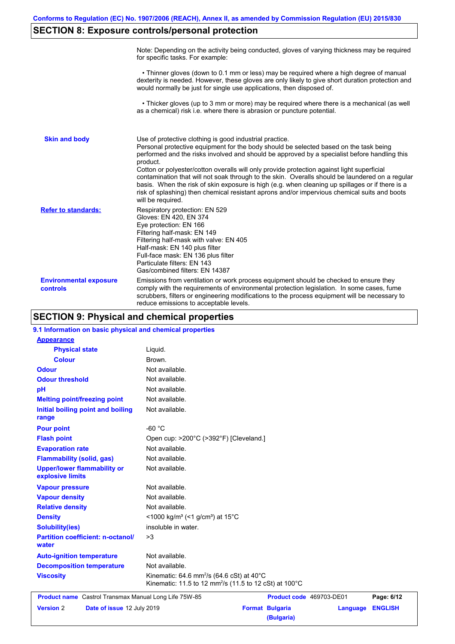## **SECTION 8: Exposure controls/personal protection**

|                                           | Note: Depending on the activity being conducted, gloves of varying thickness may be required<br>for specific tasks. For example:                                                                                                                                                                                                                                                                                                                                                                                                                                                                                                                                                      |
|-------------------------------------------|---------------------------------------------------------------------------------------------------------------------------------------------------------------------------------------------------------------------------------------------------------------------------------------------------------------------------------------------------------------------------------------------------------------------------------------------------------------------------------------------------------------------------------------------------------------------------------------------------------------------------------------------------------------------------------------|
|                                           | • Thinner gloves (down to 0.1 mm or less) may be required where a high degree of manual<br>dexterity is needed. However, these gloves are only likely to give short duration protection and<br>would normally be just for single use applications, then disposed of.                                                                                                                                                                                                                                                                                                                                                                                                                  |
|                                           | • Thicker gloves (up to 3 mm or more) may be required where there is a mechanical (as well<br>as a chemical) risk i.e. where there is abrasion or puncture potential.                                                                                                                                                                                                                                                                                                                                                                                                                                                                                                                 |
| <b>Skin and body</b>                      | Use of protective clothing is good industrial practice.<br>Personal protective equipment for the body should be selected based on the task being<br>performed and the risks involved and should be approved by a specialist before handling this<br>product.<br>Cotton or polyester/cotton overalls will only provide protection against light superficial<br>contamination that will not soak through to the skin. Overalls should be laundered on a regular<br>basis. When the risk of skin exposure is high (e.g. when cleaning up spillages or if there is a<br>risk of splashing) then chemical resistant aprons and/or impervious chemical suits and boots<br>will be required. |
| <b>Refer to standards:</b>                | Respiratory protection: EN 529<br>Gloves: EN 420, EN 374<br>Eye protection: EN 166<br>Filtering half-mask: EN 149<br>Filtering half-mask with valve: EN 405<br>Half-mask: EN 140 plus filter<br>Full-face mask: EN 136 plus filter<br>Particulate filters: EN 143<br>Gas/combined filters: EN 14387                                                                                                                                                                                                                                                                                                                                                                                   |
| <b>Environmental exposure</b><br>controls | Emissions from ventilation or work process equipment should be checked to ensure they<br>comply with the requirements of environmental protection legislation. In some cases, fume<br>scrubbers, filters or engineering modifications to the process equipment will be necessary to<br>reduce emissions to acceptable levels.                                                                                                                                                                                                                                                                                                                                                         |

### **SECTION 9: Physical and chemical properties**

| 9.1 Information on basic physical and chemical properties |                                                                                                                                        |
|-----------------------------------------------------------|----------------------------------------------------------------------------------------------------------------------------------------|
| <b>Appearance</b>                                         |                                                                                                                                        |
| <b>Physical state</b>                                     | Liquid.                                                                                                                                |
| <b>Colour</b>                                             | Brown.                                                                                                                                 |
| Odour                                                     | Not available.                                                                                                                         |
| <b>Odour threshold</b>                                    | Not available.                                                                                                                         |
| pH                                                        | Not available.                                                                                                                         |
| <b>Melting point/freezing point</b>                       | Not available.                                                                                                                         |
| Initial boiling point and boiling<br>range                | Not available.                                                                                                                         |
| <b>Pour point</b>                                         | $-60 °C$                                                                                                                               |
| <b>Flash point</b>                                        | Open cup: >200°C (>392°F) [Cleveland.]                                                                                                 |
| <b>Evaporation rate</b>                                   | Not available.                                                                                                                         |
| <b>Flammability (solid, gas)</b>                          | Not available.                                                                                                                         |
| <b>Upper/lower flammability or</b><br>explosive limits    | Not available.                                                                                                                         |
| <b>Vapour pressure</b>                                    | Not available.                                                                                                                         |
| <b>Vapour density</b>                                     | Not available.                                                                                                                         |
| <b>Relative density</b>                                   | Not available.                                                                                                                         |
| <b>Density</b>                                            | <1000 kg/m <sup>3</sup> (<1 g/cm <sup>3</sup> ) at 15 <sup>°</sup> C                                                                   |
| <b>Solubility(ies)</b>                                    | insoluble in water.                                                                                                                    |
| <b>Partition coefficient: n-octanol/</b><br>water         | >3                                                                                                                                     |
| <b>Auto-ignition temperature</b>                          | Not available.                                                                                                                         |
| <b>Decomposition temperature</b>                          | Not available.                                                                                                                         |
| <b>Viscosity</b>                                          | Kinematic: 64.6 mm <sup>2</sup> /s (64.6 cSt) at 40 $^{\circ}$ C<br>Kinematic: 11.5 to 12 mm <sup>2</sup> /s (11.5 to 12 cSt) at 100°C |
| Product name Castrol Transmax Manual Long Life 75W-85     | Product code 469703-DE01<br>Page: 6/12                                                                                                 |
| <b>Version 2</b><br>Date of issue 12 July 2019            | <b>Format Bulgaria</b><br><b>ENGLISH</b><br>Language                                                                                   |
|                                                           | (Bulgaria)                                                                                                                             |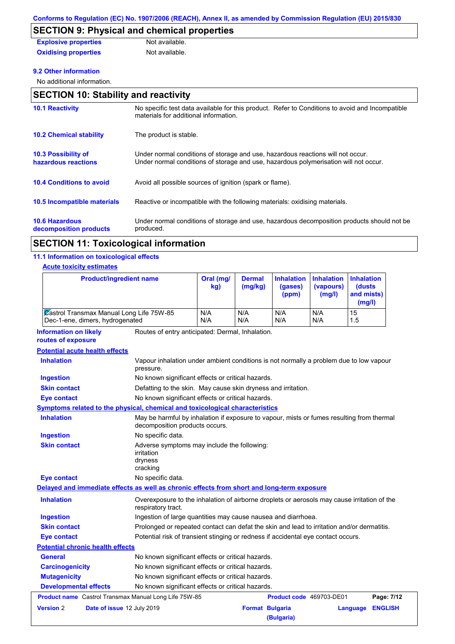# **SECTION 9: Physical and chemical properties**

| <b>Explosive properties</b> | Not available. |
|-----------------------------|----------------|
| <b>Oxidising properties</b> | Not available. |

#### **9.2 Other information**

No additional information.

### **SECTION 10: Stability and reactivity**

| <b>10.1 Reactivity</b>                            | No specific test data available for this product. Refer to Conditions to avoid and Incompatible<br>materials for additional information.                                |
|---------------------------------------------------|-------------------------------------------------------------------------------------------------------------------------------------------------------------------------|
| <b>10.2 Chemical stability</b>                    | The product is stable.                                                                                                                                                  |
| <b>10.3 Possibility of</b><br>hazardous reactions | Under normal conditions of storage and use, hazardous reactions will not occur.<br>Under normal conditions of storage and use, hazardous polymerisation will not occur. |
| <b>10.4 Conditions to avoid</b>                   | Avoid all possible sources of ignition (spark or flame).                                                                                                                |
| <b>10.5 Incompatible materials</b>                | Reactive or incompatible with the following materials: oxidising materials.                                                                                             |
| <b>10.6 Hazardous</b><br>decomposition products   | Under normal conditions of storage and use, hazardous decomposition products should not be<br>produced.                                                                 |
|                                                   |                                                                                                                                                                         |

### **SECTION 11: Toxicological information**

#### **11.1 Information on toxicological effects**

#### **Acute toxicity estimates**

| <b>Product/ingredient name</b>                                                             |                                                                                                                             | Oral (mg/<br>kg) | <b>Dermal</b><br>(mg/kg) | <b>Inhalation</b><br>(gases)<br>(ppm) | <b>Inhalation</b><br>(vapours)<br>(mg/l) | <b>Inhalation</b><br>(dusts<br>and mists)<br>(mg/l) |
|--------------------------------------------------------------------------------------------|-----------------------------------------------------------------------------------------------------------------------------|------------------|--------------------------|---------------------------------------|------------------------------------------|-----------------------------------------------------|
| Castrol Transmax Manual Long Life 75W-85<br>Dec-1-ene, dimers, hydrogenated                |                                                                                                                             | N/A<br>N/A       | N/A<br>N/A               | N/A<br>N/A                            | N/A<br>N/A                               | 15<br>1.5                                           |
| <b>Information on likely</b><br>routes of exposure                                         | Routes of entry anticipated: Dermal, Inhalation.                                                                            |                  |                          |                                       |                                          |                                                     |
| <b>Potential acute health effects</b>                                                      |                                                                                                                             |                  |                          |                                       |                                          |                                                     |
| <b>Inhalation</b>                                                                          | Vapour inhalation under ambient conditions is not normally a problem due to low vapour<br>pressure.                         |                  |                          |                                       |                                          |                                                     |
| <b>Ingestion</b>                                                                           | No known significant effects or critical hazards.                                                                           |                  |                          |                                       |                                          |                                                     |
| <b>Skin contact</b>                                                                        | Defatting to the skin. May cause skin dryness and irritation.                                                               |                  |                          |                                       |                                          |                                                     |
| Eye contact                                                                                | No known significant effects or critical hazards.                                                                           |                  |                          |                                       |                                          |                                                     |
| <b>Symptoms related to the physical, chemical and toxicological characteristics</b>        |                                                                                                                             |                  |                          |                                       |                                          |                                                     |
| <b>Inhalation</b>                                                                          | May be harmful by inhalation if exposure to vapour, mists or fumes resulting from thermal<br>decomposition products occurs. |                  |                          |                                       |                                          |                                                     |
| <b>Ingestion</b>                                                                           | No specific data.                                                                                                           |                  |                          |                                       |                                          |                                                     |
| <b>Skin contact</b>                                                                        | Adverse symptoms may include the following:<br>irritation<br>dryness<br>cracking                                            |                  |                          |                                       |                                          |                                                     |
| <b>Eye contact</b>                                                                         | No specific data.                                                                                                           |                  |                          |                                       |                                          |                                                     |
| Delayed and immediate effects as well as chronic effects from short and long-term exposure |                                                                                                                             |                  |                          |                                       |                                          |                                                     |
| <b>Inhalation</b>                                                                          | Overexposure to the inhalation of airborne droplets or aerosols may cause irritation of the<br>respiratory tract.           |                  |                          |                                       |                                          |                                                     |
| <b>Ingestion</b>                                                                           | Ingestion of large quantities may cause nausea and diarrhoea.                                                               |                  |                          |                                       |                                          |                                                     |
| <b>Skin contact</b>                                                                        | Prolonged or repeated contact can defat the skin and lead to irritation and/or dermatitis.                                  |                  |                          |                                       |                                          |                                                     |
| Eye contact                                                                                | Potential risk of transient stinging or redness if accidental eye contact occurs.                                           |                  |                          |                                       |                                          |                                                     |
| <b>Potential chronic health effects</b>                                                    |                                                                                                                             |                  |                          |                                       |                                          |                                                     |
| <b>General</b>                                                                             | No known significant effects or critical hazards.                                                                           |                  |                          |                                       |                                          |                                                     |
| <b>Carcinogenicity</b>                                                                     | No known significant effects or critical hazards.                                                                           |                  |                          |                                       |                                          |                                                     |
| <b>Mutagenicity</b>                                                                        | No known significant effects or critical hazards.                                                                           |                  |                          |                                       |                                          |                                                     |
| <b>Developmental effects</b>                                                               | No known significant effects or critical hazards.                                                                           |                  |                          |                                       |                                          |                                                     |
| <b>Product name</b> Castrol Transmax Manual Long Life 75W-85                               |                                                                                                                             |                  |                          | <b>Product code</b> 469703-DE01       |                                          | Page: 7/12                                          |
| <b>Version 2</b><br>Date of issue 12 July 2019                                             |                                                                                                                             |                  | <b>Format Bulgaria</b>   | (Bulgaria)                            |                                          | <b>ENGLISH</b><br>Language                          |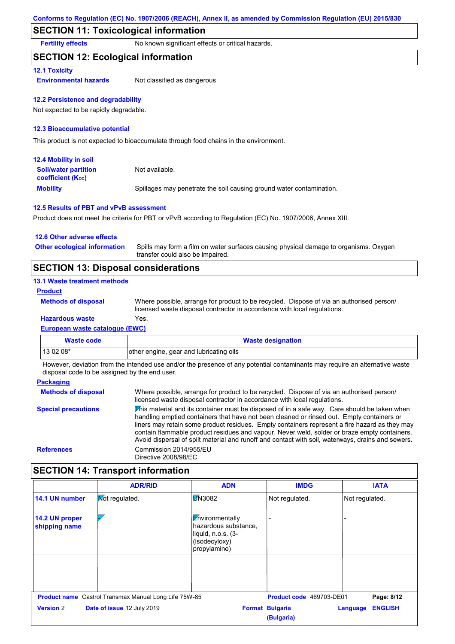### **SECTION 11: Toxicological information**

**Fertility effects** No known significant effects or critical hazards.

### **SECTION 12: Ecological information**

#### **12.1 Toxicity**

**Environmental hazards** Not classified as dangerous

#### **12.2 Persistence and degradability**

Not expected to be rapidly degradable.

#### **12.3 Bioaccumulative potential**

This product is not expected to bioaccumulate through food chains in the environment.

| <b>12.4 Mobility in soil</b>                                  |                                                                      |
|---------------------------------------------------------------|----------------------------------------------------------------------|
| <b>Soil/water partition</b><br>coefficient (K <sub>oc</sub> ) | Not available.                                                       |
| <b>Mobility</b>                                               | Spillages may penetrate the soil causing ground water contamination. |

#### **12.5 Results of PBT and vPvB assessment**

Product does not meet the criteria for PBT or vPvB according to Regulation (EC) No. 1907/2006, Annex XIII.

| 12.6 Other adverse effects          |                                                                                                                           |
|-------------------------------------|---------------------------------------------------------------------------------------------------------------------------|
| <b>Other ecological information</b> | Spills may form a film on water surfaces causing physical damage to organisms. Oxygen<br>transfer could also be impaired. |

### **SECTION 13: Disposal considerations**

| <b>13.1 Waste treatment methods</b>   |                                                                                                                                                                      |
|---------------------------------------|----------------------------------------------------------------------------------------------------------------------------------------------------------------------|
| <b>Product</b>                        |                                                                                                                                                                      |
| <b>Methods of disposal</b>            | Where possible, arrange for product to be recycled. Dispose of via an authorised person/<br>licensed waste disposal contractor in accordance with local regulations. |
| <b>Hazardous waste</b>                | Yes.                                                                                                                                                                 |
| <b>European waste catalogue (EWC)</b> |                                                                                                                                                                      |
|                                       |                                                                                                                                                                      |

| Waste code | <b>Waste designation</b>                |  |
|------------|-----------------------------------------|--|
| 13 02 08*  | other engine, gear and lubricating oils |  |

However, deviation from the intended use and/or the presence of any potential contaminants may require an alternative waste disposal code to be assigned by the end user.

#### **Packaging**

| <b>Methods of disposal</b> | Where possible, arrange for product to be recycled. Dispose of via an authorised person/<br>licensed waste disposal contractor in accordance with local regulations.                                                                                                                                                                                                                                                                                                                            |
|----------------------------|-------------------------------------------------------------------------------------------------------------------------------------------------------------------------------------------------------------------------------------------------------------------------------------------------------------------------------------------------------------------------------------------------------------------------------------------------------------------------------------------------|
| <b>Special precautions</b> | This material and its container must be disposed of in a safe way. Care should be taken when<br>handling emptied containers that have not been cleaned or rinsed out. Empty containers or<br>liners may retain some product residues. Empty containers represent a fire hazard as they may<br>contain flammable product residues and vapour. Never weld, solder or braze empty containers.<br>Avoid dispersal of spilt material and runoff and contact with soil, waterways, drains and sewers. |
| <b>References</b>          | Commission 2014/955/EU<br>Directive 2008/98/EC                                                                                                                                                                                                                                                                                                                                                                                                                                                  |

### **SECTION 14: Transport information**

|                                 | <b>ADR/RID</b>                                               | <b>ADN</b>                                                                                     | <b>IMDG</b>                          | <b>IATA</b>                |
|---------------------------------|--------------------------------------------------------------|------------------------------------------------------------------------------------------------|--------------------------------------|----------------------------|
| 14.1 UN number                  | <b>Not regulated.</b>                                        | <b>M</b> 3082                                                                                  | Not regulated.                       | Not regulated.             |
| 14.2 UN proper<br>shipping name |                                                              | Environmentally<br>hazardous substance,<br>liquid, n.o.s. (3-<br>(isodecyloxy)<br>propylamine) |                                      |                            |
|                                 |                                                              |                                                                                                |                                      |                            |
|                                 | <b>Product name</b> Castrol Transmax Manual Long Life 75W-85 |                                                                                                | Product code 469703-DE01             | Page: 8/12                 |
| <b>Version 2</b>                | Date of issue 12 July 2019                                   |                                                                                                | <b>Format Bulgaria</b><br>(Bulgaria) | <b>ENGLISH</b><br>Language |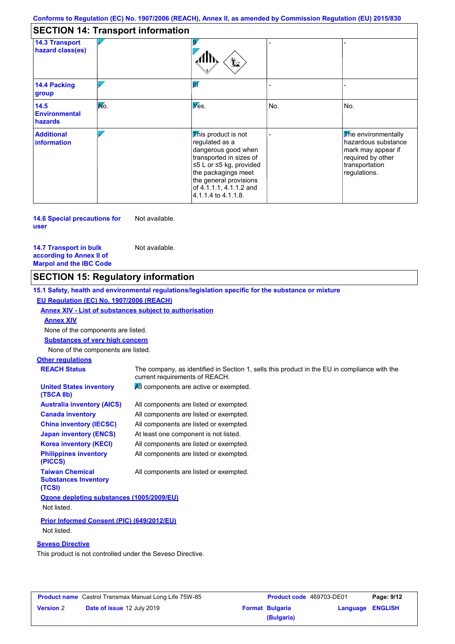### **SECTION 14: Transport information**

| <b>14.3 Transport</b>                   |     |                                                                                                                                                                                                                       |     |                                                                                                                         |
|-----------------------------------------|-----|-----------------------------------------------------------------------------------------------------------------------------------------------------------------------------------------------------------------------|-----|-------------------------------------------------------------------------------------------------------------------------|
| hazard class(es)                        |     | ᆇ                                                                                                                                                                                                                     |     |                                                                                                                         |
| <b>14.4 Packing</b><br>group            |     | lИ                                                                                                                                                                                                                    |     |                                                                                                                         |
| 14.5<br><b>Environmental</b><br>hazards | Mo. | $V$ es.                                                                                                                                                                                                               | No. | No.                                                                                                                     |
| <b>Additional</b><br><b>information</b> |     | This product is not<br>regulated as a<br>dangerous good when<br>transported in sizes of<br>≤5 L or ≤5 kg, provided<br>the packagings meet<br>the general provisions<br>of 4.1.1.1, 4.1.1.2 and<br>4.1.1.4 to 4.1.1.8. |     | The environmentally<br>hazardous substance<br>mark may appear if<br>required by other<br>transportation<br>regulations. |

**14.6 Special precautions for user** Not available.

**14.7 Transport in bulk according to Annex II of Marpol and the IBC Code** Not available.

# **SECTION 15: Regulatory information**

**Other regulations REACH Status** The company, as identified in Section 1, sells this product in the EU in compliance with the current requirements of REACH. **15.1 Safety, health and environmental regulations/legislation specific for the substance or mixture EU Regulation (EC) No. 1907/2006 (REACH) Annex XIV - List of substances subject to authorisation Substances of very high concern** None of the components are listed. All components are listed or exempted. All components are listed or exempted. All components are listed or exempted. At least one component is not listed. All components are active or exempted. All components are listed or exempted. All components are listed or exempted. **United States inventory (TSCA 8b) Australia inventory (AICS) Canada inventory China inventory (IECSC) Japan inventory (ENCS) Korea inventory (KECI) Philippines inventory (PICCS) Taiwan Chemical Substances Inventory (TCSI)** All components are listed or exempted. **Ozone depleting substances (1005/2009/EU)** Not listed. **Prior Informed Consent (PIC) (649/2012/EU)** Not listed. **Seveso Directive** This product is not controlled under the Seveso Directive. None of the components are listed. **Annex XIV**

| <b>Product name</b> Castrol Transmax Manual Long Life 75W-85 |                                   | Product code 469703-DE01 |                        | Page: 9/12       |  |
|--------------------------------------------------------------|-----------------------------------|--------------------------|------------------------|------------------|--|
| <b>Version 2</b>                                             | <b>Date of issue 12 July 2019</b> |                          | <b>Format Bulgaria</b> | Language ENGLISH |  |
|                                                              |                                   |                          | (Bulgaria)             |                  |  |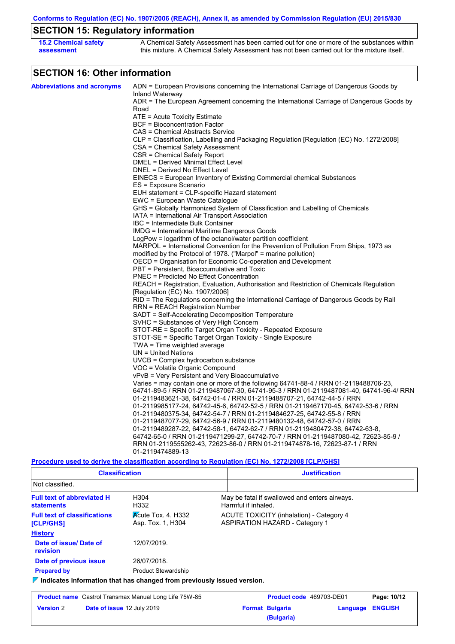**Conforms to Regulation (EC) No. 1907/2006 (REACH), Annex II, as amended by Commission Regulation (EU) 2015/830**

# **SECTION 15: Regulatory information**

| <b>15.2 Chemical safety</b> | A Chemical Safety Assessment has been carried out for one or more of the substances within  |
|-----------------------------|---------------------------------------------------------------------------------------------|
| assessment                  | this mixture. A Chemical Safety Assessment has not been carried out for the mixture itself. |

# **SECTION 16: Other information**

| ADN = European Provisions concerning the International Carriage of Dangerous Goods by<br><b>Abbreviations and acronyms</b><br>Inland Waterway<br>ADR = The European Agreement concerning the International Carriage of Dangerous Goods by<br>Road<br>ATE = Acute Toxicity Estimate<br><b>BCF</b> = Bioconcentration Factor<br>CAS = Chemical Abstracts Service<br>CLP = Classification, Labelling and Packaging Regulation [Regulation (EC) No. 1272/2008]<br>CSA = Chemical Safety Assessment<br>CSR = Chemical Safety Report<br>DMEL = Derived Minimal Effect Level<br>DNEL = Derived No Effect Level<br>EINECS = European Inventory of Existing Commercial chemical Substances<br>ES = Exposure Scenario<br>EUH statement = CLP-specific Hazard statement<br>EWC = European Waste Catalogue<br>GHS = Globally Harmonized System of Classification and Labelling of Chemicals<br>IATA = International Air Transport Association<br>IBC = Intermediate Bulk Container<br><b>IMDG = International Maritime Dangerous Goods</b><br>LogPow = logarithm of the octanol/water partition coefficient<br>MARPOL = International Convention for the Prevention of Pollution From Ships, 1973 as<br>modified by the Protocol of 1978. ("Marpol" = marine pollution)<br>OECD = Organisation for Economic Co-operation and Development<br>PBT = Persistent, Bioaccumulative and Toxic<br><b>PNEC = Predicted No Effect Concentration</b><br>REACH = Registration, Evaluation, Authorisation and Restriction of Chemicals Regulation<br>[Regulation (EC) No. 1907/2006]<br>RID = The Regulations concerning the International Carriage of Dangerous Goods by Rail<br>RRN = REACH Registration Number<br>SADT = Self-Accelerating Decomposition Temperature<br>SVHC = Substances of Very High Concern<br>STOT-RE = Specific Target Organ Toxicity - Repeated Exposure<br>STOT-SE = Specific Target Organ Toxicity - Single Exposure<br>TWA = Time weighted average<br>$UN = United Nations$<br>$UVCB = Complex\;hydrocarbon\; substance$<br>VOC = Volatile Organic Compound<br>vPvB = Very Persistent and Very Bioaccumulative<br>Varies = may contain one or more of the following 64741-88-4 / RRN 01-2119488706-23,<br>64741-89-5 / RRN 01-2119487067-30, 64741-95-3 / RRN 01-2119487081-40, 64741-96-4/ RRN<br>01-2119483621-38, 64742-01-4 / RRN 01-2119488707-21, 64742-44-5 / RRN<br>01-2119985177-24, 64742-45-6, 64742-52-5 / RRN 01-2119467170-45, 64742-53-6 / RRN |                                                                       |
|-------------------------------------------------------------------------------------------------------------------------------------------------------------------------------------------------------------------------------------------------------------------------------------------------------------------------------------------------------------------------------------------------------------------------------------------------------------------------------------------------------------------------------------------------------------------------------------------------------------------------------------------------------------------------------------------------------------------------------------------------------------------------------------------------------------------------------------------------------------------------------------------------------------------------------------------------------------------------------------------------------------------------------------------------------------------------------------------------------------------------------------------------------------------------------------------------------------------------------------------------------------------------------------------------------------------------------------------------------------------------------------------------------------------------------------------------------------------------------------------------------------------------------------------------------------------------------------------------------------------------------------------------------------------------------------------------------------------------------------------------------------------------------------------------------------------------------------------------------------------------------------------------------------------------------------------------------------------------------------------------------------------------------------------------------------------------------------------------------------------------------------------------------------------------------------------------------------------------------------------------------------------------------------------------------------------------------------------------------------------------------------------------------------------------------------------------------------------|-----------------------------------------------------------------------|
|                                                                                                                                                                                                                                                                                                                                                                                                                                                                                                                                                                                                                                                                                                                                                                                                                                                                                                                                                                                                                                                                                                                                                                                                                                                                                                                                                                                                                                                                                                                                                                                                                                                                                                                                                                                                                                                                                                                                                                                                                                                                                                                                                                                                                                                                                                                                                                                                                                                                   |                                                                       |
|                                                                                                                                                                                                                                                                                                                                                                                                                                                                                                                                                                                                                                                                                                                                                                                                                                                                                                                                                                                                                                                                                                                                                                                                                                                                                                                                                                                                                                                                                                                                                                                                                                                                                                                                                                                                                                                                                                                                                                                                                                                                                                                                                                                                                                                                                                                                                                                                                                                                   |                                                                       |
|                                                                                                                                                                                                                                                                                                                                                                                                                                                                                                                                                                                                                                                                                                                                                                                                                                                                                                                                                                                                                                                                                                                                                                                                                                                                                                                                                                                                                                                                                                                                                                                                                                                                                                                                                                                                                                                                                                                                                                                                                                                                                                                                                                                                                                                                                                                                                                                                                                                                   |                                                                       |
|                                                                                                                                                                                                                                                                                                                                                                                                                                                                                                                                                                                                                                                                                                                                                                                                                                                                                                                                                                                                                                                                                                                                                                                                                                                                                                                                                                                                                                                                                                                                                                                                                                                                                                                                                                                                                                                                                                                                                                                                                                                                                                                                                                                                                                                                                                                                                                                                                                                                   |                                                                       |
|                                                                                                                                                                                                                                                                                                                                                                                                                                                                                                                                                                                                                                                                                                                                                                                                                                                                                                                                                                                                                                                                                                                                                                                                                                                                                                                                                                                                                                                                                                                                                                                                                                                                                                                                                                                                                                                                                                                                                                                                                                                                                                                                                                                                                                                                                                                                                                                                                                                                   |                                                                       |
|                                                                                                                                                                                                                                                                                                                                                                                                                                                                                                                                                                                                                                                                                                                                                                                                                                                                                                                                                                                                                                                                                                                                                                                                                                                                                                                                                                                                                                                                                                                                                                                                                                                                                                                                                                                                                                                                                                                                                                                                                                                                                                                                                                                                                                                                                                                                                                                                                                                                   |                                                                       |
|                                                                                                                                                                                                                                                                                                                                                                                                                                                                                                                                                                                                                                                                                                                                                                                                                                                                                                                                                                                                                                                                                                                                                                                                                                                                                                                                                                                                                                                                                                                                                                                                                                                                                                                                                                                                                                                                                                                                                                                                                                                                                                                                                                                                                                                                                                                                                                                                                                                                   |                                                                       |
|                                                                                                                                                                                                                                                                                                                                                                                                                                                                                                                                                                                                                                                                                                                                                                                                                                                                                                                                                                                                                                                                                                                                                                                                                                                                                                                                                                                                                                                                                                                                                                                                                                                                                                                                                                                                                                                                                                                                                                                                                                                                                                                                                                                                                                                                                                                                                                                                                                                                   |                                                                       |
|                                                                                                                                                                                                                                                                                                                                                                                                                                                                                                                                                                                                                                                                                                                                                                                                                                                                                                                                                                                                                                                                                                                                                                                                                                                                                                                                                                                                                                                                                                                                                                                                                                                                                                                                                                                                                                                                                                                                                                                                                                                                                                                                                                                                                                                                                                                                                                                                                                                                   |                                                                       |
|                                                                                                                                                                                                                                                                                                                                                                                                                                                                                                                                                                                                                                                                                                                                                                                                                                                                                                                                                                                                                                                                                                                                                                                                                                                                                                                                                                                                                                                                                                                                                                                                                                                                                                                                                                                                                                                                                                                                                                                                                                                                                                                                                                                                                                                                                                                                                                                                                                                                   |                                                                       |
|                                                                                                                                                                                                                                                                                                                                                                                                                                                                                                                                                                                                                                                                                                                                                                                                                                                                                                                                                                                                                                                                                                                                                                                                                                                                                                                                                                                                                                                                                                                                                                                                                                                                                                                                                                                                                                                                                                                                                                                                                                                                                                                                                                                                                                                                                                                                                                                                                                                                   |                                                                       |
|                                                                                                                                                                                                                                                                                                                                                                                                                                                                                                                                                                                                                                                                                                                                                                                                                                                                                                                                                                                                                                                                                                                                                                                                                                                                                                                                                                                                                                                                                                                                                                                                                                                                                                                                                                                                                                                                                                                                                                                                                                                                                                                                                                                                                                                                                                                                                                                                                                                                   |                                                                       |
|                                                                                                                                                                                                                                                                                                                                                                                                                                                                                                                                                                                                                                                                                                                                                                                                                                                                                                                                                                                                                                                                                                                                                                                                                                                                                                                                                                                                                                                                                                                                                                                                                                                                                                                                                                                                                                                                                                                                                                                                                                                                                                                                                                                                                                                                                                                                                                                                                                                                   |                                                                       |
|                                                                                                                                                                                                                                                                                                                                                                                                                                                                                                                                                                                                                                                                                                                                                                                                                                                                                                                                                                                                                                                                                                                                                                                                                                                                                                                                                                                                                                                                                                                                                                                                                                                                                                                                                                                                                                                                                                                                                                                                                                                                                                                                                                                                                                                                                                                                                                                                                                                                   |                                                                       |
|                                                                                                                                                                                                                                                                                                                                                                                                                                                                                                                                                                                                                                                                                                                                                                                                                                                                                                                                                                                                                                                                                                                                                                                                                                                                                                                                                                                                                                                                                                                                                                                                                                                                                                                                                                                                                                                                                                                                                                                                                                                                                                                                                                                                                                                                                                                                                                                                                                                                   |                                                                       |
|                                                                                                                                                                                                                                                                                                                                                                                                                                                                                                                                                                                                                                                                                                                                                                                                                                                                                                                                                                                                                                                                                                                                                                                                                                                                                                                                                                                                                                                                                                                                                                                                                                                                                                                                                                                                                                                                                                                                                                                                                                                                                                                                                                                                                                                                                                                                                                                                                                                                   |                                                                       |
|                                                                                                                                                                                                                                                                                                                                                                                                                                                                                                                                                                                                                                                                                                                                                                                                                                                                                                                                                                                                                                                                                                                                                                                                                                                                                                                                                                                                                                                                                                                                                                                                                                                                                                                                                                                                                                                                                                                                                                                                                                                                                                                                                                                                                                                                                                                                                                                                                                                                   |                                                                       |
|                                                                                                                                                                                                                                                                                                                                                                                                                                                                                                                                                                                                                                                                                                                                                                                                                                                                                                                                                                                                                                                                                                                                                                                                                                                                                                                                                                                                                                                                                                                                                                                                                                                                                                                                                                                                                                                                                                                                                                                                                                                                                                                                                                                                                                                                                                                                                                                                                                                                   |                                                                       |
|                                                                                                                                                                                                                                                                                                                                                                                                                                                                                                                                                                                                                                                                                                                                                                                                                                                                                                                                                                                                                                                                                                                                                                                                                                                                                                                                                                                                                                                                                                                                                                                                                                                                                                                                                                                                                                                                                                                                                                                                                                                                                                                                                                                                                                                                                                                                                                                                                                                                   |                                                                       |
|                                                                                                                                                                                                                                                                                                                                                                                                                                                                                                                                                                                                                                                                                                                                                                                                                                                                                                                                                                                                                                                                                                                                                                                                                                                                                                                                                                                                                                                                                                                                                                                                                                                                                                                                                                                                                                                                                                                                                                                                                                                                                                                                                                                                                                                                                                                                                                                                                                                                   |                                                                       |
|                                                                                                                                                                                                                                                                                                                                                                                                                                                                                                                                                                                                                                                                                                                                                                                                                                                                                                                                                                                                                                                                                                                                                                                                                                                                                                                                                                                                                                                                                                                                                                                                                                                                                                                                                                                                                                                                                                                                                                                                                                                                                                                                                                                                                                                                                                                                                                                                                                                                   |                                                                       |
|                                                                                                                                                                                                                                                                                                                                                                                                                                                                                                                                                                                                                                                                                                                                                                                                                                                                                                                                                                                                                                                                                                                                                                                                                                                                                                                                                                                                                                                                                                                                                                                                                                                                                                                                                                                                                                                                                                                                                                                                                                                                                                                                                                                                                                                                                                                                                                                                                                                                   |                                                                       |
|                                                                                                                                                                                                                                                                                                                                                                                                                                                                                                                                                                                                                                                                                                                                                                                                                                                                                                                                                                                                                                                                                                                                                                                                                                                                                                                                                                                                                                                                                                                                                                                                                                                                                                                                                                                                                                                                                                                                                                                                                                                                                                                                                                                                                                                                                                                                                                                                                                                                   |                                                                       |
|                                                                                                                                                                                                                                                                                                                                                                                                                                                                                                                                                                                                                                                                                                                                                                                                                                                                                                                                                                                                                                                                                                                                                                                                                                                                                                                                                                                                                                                                                                                                                                                                                                                                                                                                                                                                                                                                                                                                                                                                                                                                                                                                                                                                                                                                                                                                                                                                                                                                   |                                                                       |
|                                                                                                                                                                                                                                                                                                                                                                                                                                                                                                                                                                                                                                                                                                                                                                                                                                                                                                                                                                                                                                                                                                                                                                                                                                                                                                                                                                                                                                                                                                                                                                                                                                                                                                                                                                                                                                                                                                                                                                                                                                                                                                                                                                                                                                                                                                                                                                                                                                                                   |                                                                       |
|                                                                                                                                                                                                                                                                                                                                                                                                                                                                                                                                                                                                                                                                                                                                                                                                                                                                                                                                                                                                                                                                                                                                                                                                                                                                                                                                                                                                                                                                                                                                                                                                                                                                                                                                                                                                                                                                                                                                                                                                                                                                                                                                                                                                                                                                                                                                                                                                                                                                   |                                                                       |
|                                                                                                                                                                                                                                                                                                                                                                                                                                                                                                                                                                                                                                                                                                                                                                                                                                                                                                                                                                                                                                                                                                                                                                                                                                                                                                                                                                                                                                                                                                                                                                                                                                                                                                                                                                                                                                                                                                                                                                                                                                                                                                                                                                                                                                                                                                                                                                                                                                                                   |                                                                       |
|                                                                                                                                                                                                                                                                                                                                                                                                                                                                                                                                                                                                                                                                                                                                                                                                                                                                                                                                                                                                                                                                                                                                                                                                                                                                                                                                                                                                                                                                                                                                                                                                                                                                                                                                                                                                                                                                                                                                                                                                                                                                                                                                                                                                                                                                                                                                                                                                                                                                   |                                                                       |
|                                                                                                                                                                                                                                                                                                                                                                                                                                                                                                                                                                                                                                                                                                                                                                                                                                                                                                                                                                                                                                                                                                                                                                                                                                                                                                                                                                                                                                                                                                                                                                                                                                                                                                                                                                                                                                                                                                                                                                                                                                                                                                                                                                                                                                                                                                                                                                                                                                                                   |                                                                       |
|                                                                                                                                                                                                                                                                                                                                                                                                                                                                                                                                                                                                                                                                                                                                                                                                                                                                                                                                                                                                                                                                                                                                                                                                                                                                                                                                                                                                                                                                                                                                                                                                                                                                                                                                                                                                                                                                                                                                                                                                                                                                                                                                                                                                                                                                                                                                                                                                                                                                   |                                                                       |
|                                                                                                                                                                                                                                                                                                                                                                                                                                                                                                                                                                                                                                                                                                                                                                                                                                                                                                                                                                                                                                                                                                                                                                                                                                                                                                                                                                                                                                                                                                                                                                                                                                                                                                                                                                                                                                                                                                                                                                                                                                                                                                                                                                                                                                                                                                                                                                                                                                                                   |                                                                       |
|                                                                                                                                                                                                                                                                                                                                                                                                                                                                                                                                                                                                                                                                                                                                                                                                                                                                                                                                                                                                                                                                                                                                                                                                                                                                                                                                                                                                                                                                                                                                                                                                                                                                                                                                                                                                                                                                                                                                                                                                                                                                                                                                                                                                                                                                                                                                                                                                                                                                   |                                                                       |
|                                                                                                                                                                                                                                                                                                                                                                                                                                                                                                                                                                                                                                                                                                                                                                                                                                                                                                                                                                                                                                                                                                                                                                                                                                                                                                                                                                                                                                                                                                                                                                                                                                                                                                                                                                                                                                                                                                                                                                                                                                                                                                                                                                                                                                                                                                                                                                                                                                                                   |                                                                       |
|                                                                                                                                                                                                                                                                                                                                                                                                                                                                                                                                                                                                                                                                                                                                                                                                                                                                                                                                                                                                                                                                                                                                                                                                                                                                                                                                                                                                                                                                                                                                                                                                                                                                                                                                                                                                                                                                                                                                                                                                                                                                                                                                                                                                                                                                                                                                                                                                                                                                   |                                                                       |
|                                                                                                                                                                                                                                                                                                                                                                                                                                                                                                                                                                                                                                                                                                                                                                                                                                                                                                                                                                                                                                                                                                                                                                                                                                                                                                                                                                                                                                                                                                                                                                                                                                                                                                                                                                                                                                                                                                                                                                                                                                                                                                                                                                                                                                                                                                                                                                                                                                                                   |                                                                       |
|                                                                                                                                                                                                                                                                                                                                                                                                                                                                                                                                                                                                                                                                                                                                                                                                                                                                                                                                                                                                                                                                                                                                                                                                                                                                                                                                                                                                                                                                                                                                                                                                                                                                                                                                                                                                                                                                                                                                                                                                                                                                                                                                                                                                                                                                                                                                                                                                                                                                   |                                                                       |
|                                                                                                                                                                                                                                                                                                                                                                                                                                                                                                                                                                                                                                                                                                                                                                                                                                                                                                                                                                                                                                                                                                                                                                                                                                                                                                                                                                                                                                                                                                                                                                                                                                                                                                                                                                                                                                                                                                                                                                                                                                                                                                                                                                                                                                                                                                                                                                                                                                                                   |                                                                       |
|                                                                                                                                                                                                                                                                                                                                                                                                                                                                                                                                                                                                                                                                                                                                                                                                                                                                                                                                                                                                                                                                                                                                                                                                                                                                                                                                                                                                                                                                                                                                                                                                                                                                                                                                                                                                                                                                                                                                                                                                                                                                                                                                                                                                                                                                                                                                                                                                                                                                   |                                                                       |
|                                                                                                                                                                                                                                                                                                                                                                                                                                                                                                                                                                                                                                                                                                                                                                                                                                                                                                                                                                                                                                                                                                                                                                                                                                                                                                                                                                                                                                                                                                                                                                                                                                                                                                                                                                                                                                                                                                                                                                                                                                                                                                                                                                                                                                                                                                                                                                                                                                                                   |                                                                       |
|                                                                                                                                                                                                                                                                                                                                                                                                                                                                                                                                                                                                                                                                                                                                                                                                                                                                                                                                                                                                                                                                                                                                                                                                                                                                                                                                                                                                                                                                                                                                                                                                                                                                                                                                                                                                                                                                                                                                                                                                                                                                                                                                                                                                                                                                                                                                                                                                                                                                   |                                                                       |
|                                                                                                                                                                                                                                                                                                                                                                                                                                                                                                                                                                                                                                                                                                                                                                                                                                                                                                                                                                                                                                                                                                                                                                                                                                                                                                                                                                                                                                                                                                                                                                                                                                                                                                                                                                                                                                                                                                                                                                                                                                                                                                                                                                                                                                                                                                                                                                                                                                                                   | 01-2119480375-34, 64742-54-7 / RRN 01-2119484627-25, 64742-55-8 / RRN |
| 01-2119487077-29, 64742-56-9 / RRN 01-2119480132-48, 64742-57-0 / RRN                                                                                                                                                                                                                                                                                                                                                                                                                                                                                                                                                                                                                                                                                                                                                                                                                                                                                                                                                                                                                                                                                                                                                                                                                                                                                                                                                                                                                                                                                                                                                                                                                                                                                                                                                                                                                                                                                                                                                                                                                                                                                                                                                                                                                                                                                                                                                                                             |                                                                       |
| 01-2119489287-22, 64742-58-1, 64742-62-7 / RRN 01-2119480472-38, 64742-63-8,                                                                                                                                                                                                                                                                                                                                                                                                                                                                                                                                                                                                                                                                                                                                                                                                                                                                                                                                                                                                                                                                                                                                                                                                                                                                                                                                                                                                                                                                                                                                                                                                                                                                                                                                                                                                                                                                                                                                                                                                                                                                                                                                                                                                                                                                                                                                                                                      |                                                                       |
| 64742-65-0 / RRN 01-2119471299-27, 64742-70-7 / RRN 01-2119487080-42, 72623-85-9 /                                                                                                                                                                                                                                                                                                                                                                                                                                                                                                                                                                                                                                                                                                                                                                                                                                                                                                                                                                                                                                                                                                                                                                                                                                                                                                                                                                                                                                                                                                                                                                                                                                                                                                                                                                                                                                                                                                                                                                                                                                                                                                                                                                                                                                                                                                                                                                                |                                                                       |
| RRN 01-2119555262-43, 72623-86-0 / RRN 01-2119474878-16, 72623-87-1 / RRN                                                                                                                                                                                                                                                                                                                                                                                                                                                                                                                                                                                                                                                                                                                                                                                                                                                                                                                                                                                                                                                                                                                                                                                                                                                                                                                                                                                                                                                                                                                                                                                                                                                                                                                                                                                                                                                                                                                                                                                                                                                                                                                                                                                                                                                                                                                                                                                         |                                                                       |
| 01-2119474889-13                                                                                                                                                                                                                                                                                                                                                                                                                                                                                                                                                                                                                                                                                                                                                                                                                                                                                                                                                                                                                                                                                                                                                                                                                                                                                                                                                                                                                                                                                                                                                                                                                                                                                                                                                                                                                                                                                                                                                                                                                                                                                                                                                                                                                                                                                                                                                                                                                                                  |                                                                       |
| <u>Procedure used to derive the classification according to Regulation (EC) No. 1272/2008 [CLP/GHS]</u>                                                                                                                                                                                                                                                                                                                                                                                                                                                                                                                                                                                                                                                                                                                                                                                                                                                                                                                                                                                                                                                                                                                                                                                                                                                                                                                                                                                                                                                                                                                                                                                                                                                                                                                                                                                                                                                                                                                                                                                                                                                                                                                                                                                                                                                                                                                                                           |                                                                       |

| <b>Classification</b>                                                                       |                                   | <b>Justification</b> |                                                                                   |          |                |  |  |
|---------------------------------------------------------------------------------------------|-----------------------------------|----------------------|-----------------------------------------------------------------------------------|----------|----------------|--|--|
| Not classified.                                                                             |                                   |                      |                                                                                   |          |                |  |  |
| <b>Full text of abbreviated H</b><br>H304<br>H332<br><b>statements</b>                      |                                   |                      | May be fatal if swallowed and enters airways.<br>Harmful if inhaled.              |          |                |  |  |
| Kcute Tox. 4, H332<br><b>Full text of classifications</b><br>Asp. Tox. 1, H304<br>[CLP/GHS] |                                   |                      | ACUTE TOXICITY (inhalation) - Category 4<br><b>ASPIRATION HAZARD - Category 1</b> |          |                |  |  |
| <b>History</b>                                                                              |                                   |                      |                                                                                   |          |                |  |  |
| Date of issue/Date of<br><b>revision</b>                                                    | 12/07/2019.                       |                      |                                                                                   |          |                |  |  |
| Date of previous issue                                                                      | 26/07/2018.                       |                      |                                                                                   |          |                |  |  |
| <b>Prepared by</b><br><b>Product Stewardship</b>                                            |                                   |                      |                                                                                   |          |                |  |  |
| $\triangledown$ Indicates information that has changed from previously issued version.      |                                   |                      |                                                                                   |          |                |  |  |
| <b>Product name</b> Castrol Transmax Manual Long Life 75W-85                                |                                   |                      | Product code 469703-DE01                                                          |          | Page: 10/12    |  |  |
| <b>Version 2</b>                                                                            | <b>Date of issue 12 July 2019</b> |                      | <b>Format Bulgaria</b>                                                            | Language | <b>ENGLISH</b> |  |  |

**(Bulgaria)**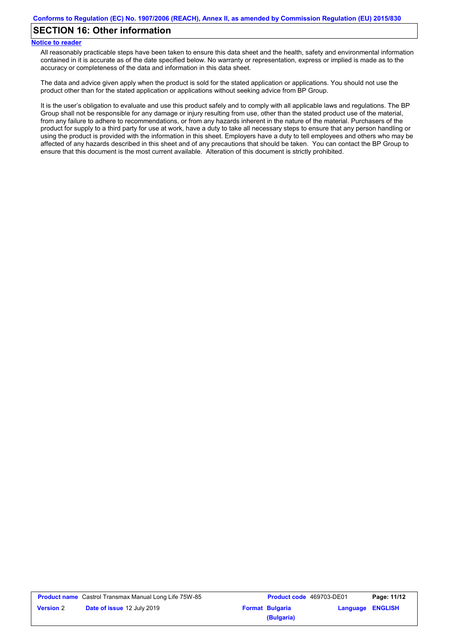### **SECTION 16: Other information**

#### **Notice to reader**

All reasonably practicable steps have been taken to ensure this data sheet and the health, safety and environmental information contained in it is accurate as of the date specified below. No warranty or representation, express or implied is made as to the accuracy or completeness of the data and information in this data sheet.

The data and advice given apply when the product is sold for the stated application or applications. You should not use the product other than for the stated application or applications without seeking advice from BP Group.

It is the user's obligation to evaluate and use this product safely and to comply with all applicable laws and regulations. The BP Group shall not be responsible for any damage or injury resulting from use, other than the stated product use of the material, from any failure to adhere to recommendations, or from any hazards inherent in the nature of the material. Purchasers of the product for supply to a third party for use at work, have a duty to take all necessary steps to ensure that any person handling or using the product is provided with the information in this sheet. Employers have a duty to tell employees and others who may be affected of any hazards described in this sheet and of any precautions that should be taken. You can contact the BP Group to ensure that this document is the most current available. Alteration of this document is strictly prohibited.

|                  | <b>Product name</b> Castrol Transmax Manual Long Life 75W-85 | Product code 469703-DE01             |                         | Page: 11/12 |
|------------------|--------------------------------------------------------------|--------------------------------------|-------------------------|-------------|
| <b>Version 2</b> | <b>Date of issue 12 July 2019</b>                            | <b>Format Bulgaria</b><br>(Bulgaria) | <b>Language ENGLISH</b> |             |